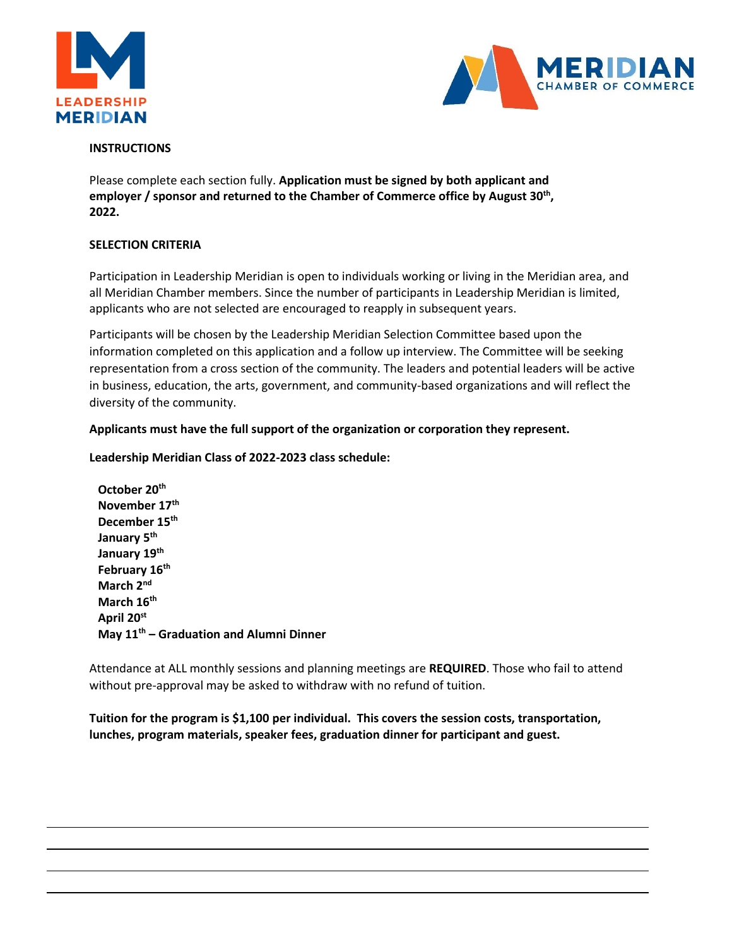



## **INSTRUCTIONS**

Please complete each section fully. **Application must be signed by both applicant and employer / sponsor and returned to the Chamber of Commerce office by August 30th , 2022.**

#### **SELECTION CRITERIA**

Participation in Leadership Meridian is open to individuals working or living in the Meridian area, and all Meridian Chamber members. Since the number of participants in Leadership Meridian is limited, applicants who are not selected are encouraged to reapply in subsequent years.

Participants will be chosen by the Leadership Meridian Selection Committee based upon the information completed on this application and a follow up interview. The Committee will be seeking representation from a cross section of the community. The leaders and potential leaders will be active in business, education, the arts, government, and community-based organizations and will reflect the diversity of the community.

#### **Applicants must have the full support of the organization or corporation they represent.**

#### **Leadership Meridian Class of 2022-2023 class schedule:**

**October 20 th November 17 th December 15 th January 5 th January 19th February 16 th March 2 nd March 16th April 20 st May 11th – Graduation and Alumni Dinner**

Attendance at ALL monthly sessions and planning meetings are **REQUIRED**. Those who fail to attend without pre-approval may be asked to withdraw with no refund of tuition.

**Tuition for the program is \$1,100 per individual. This covers the session costs, transportation, lunches, program materials, speaker fees, graduation dinner for participant and guest.**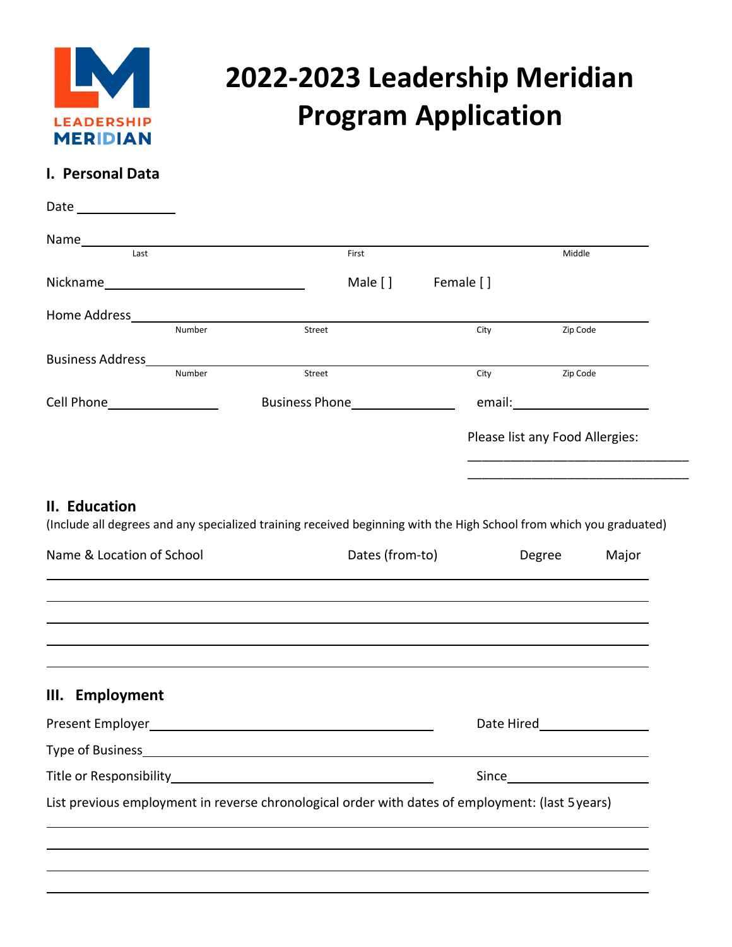

# **2022-2023 Leadership Meridian Program Application**

# **I. Personal Data**

| Name<br>last                                                  | First                                                                                                               |                   | Middle                          |
|---------------------------------------------------------------|---------------------------------------------------------------------------------------------------------------------|-------------------|---------------------------------|
|                                                               |                                                                                                                     | Male [] Female [] |                                 |
|                                                               |                                                                                                                     |                   |                                 |
| Number                                                        | Street                                                                                                              | City              | Zip Code                        |
| <b>Business Address</b>                                       |                                                                                                                     |                   |                                 |
| Number                                                        | Street                                                                                                              | City              | Zip Code                        |
| Cell Phone____________________                                |                                                                                                                     |                   |                                 |
|                                                               |                                                                                                                     |                   | Please list any Food Allergies: |
|                                                               |                                                                                                                     |                   |                                 |
|                                                               | (Include all degrees and any specialized training received beginning with the High School from which you graduated) | Dates (from-to)   | Degree<br>Major                 |
|                                                               |                                                                                                                     |                   |                                 |
|                                                               |                                                                                                                     |                   |                                 |
|                                                               |                                                                                                                     |                   | Date Hired <b>Date</b> Hired    |
| II. Education<br>Name & Location of School<br>III. Employment |                                                                                                                     |                   |                                 |
|                                                               |                                                                                                                     |                   |                                 |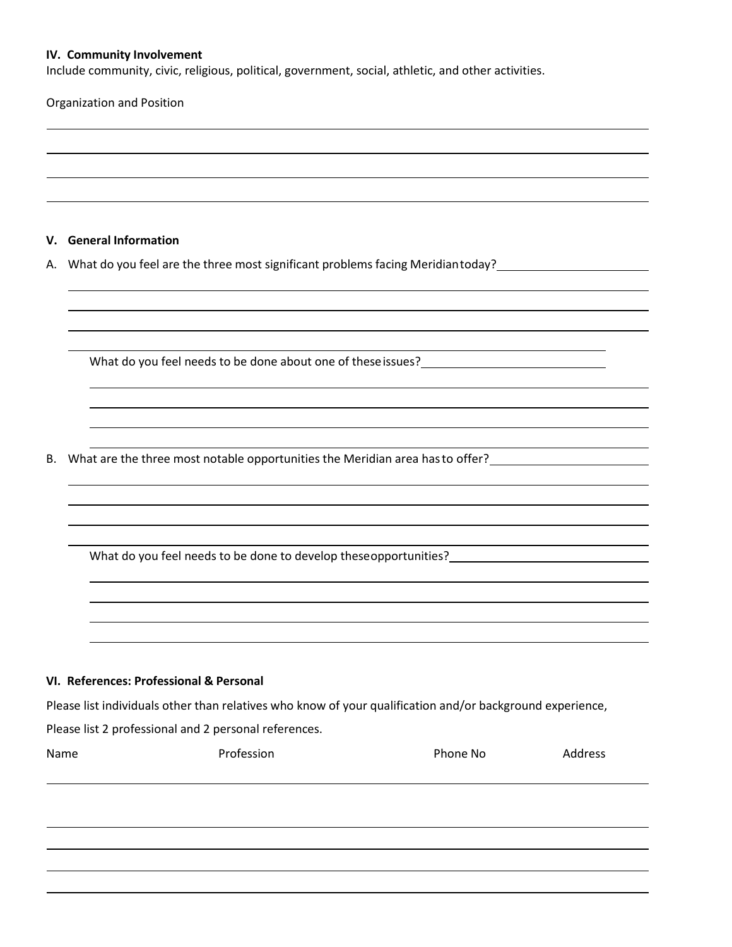#### **IV. Community Involvement**

Include community, civic, religious, political, government, social, athletic, and other activities.

Organization and Position

#### **V. General Information**

A. What do you feel are the three most significant problems facing Meridian today?

What do you feel needs to be done about one of these issues?

B. What are the three most notable opportunities the Meridian area hasto offer?

What do you feel needs to be done to develop theseopportunities?\_\_\_\_\_\_\_\_\_\_\_\_\_\_\_\_\_

#### **VI. References: Professional & Personal**

Please list individuals other than relatives who know of your qualification and/or background experience,

Please list 2 professional and 2 personal references.

| v.<br><br>×<br>۹ |
|------------------|
|------------------|

Name **Name** Profession **Profession Phone No Address**